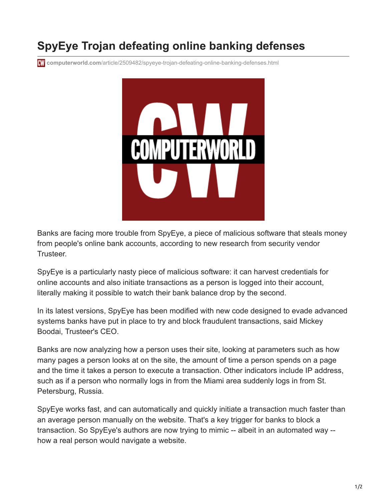## **SpyEye Trojan defeating online banking defenses**

**CW** computerworld.com[/article/2509482/spyeye-trojan-defeating-online-banking-defenses.html](https://www.computerworld.com/article/2509482/spyeye-trojan-defeating-online-banking-defenses.html)



Banks are facing more trouble from SpyEye, a piece of malicious software that steals money from people's online bank accounts, according to new research from security vendor Trusteer.

SpyEye is a particularly nasty piece of malicious software: it can harvest credentials for online accounts and also initiate transactions as a person is logged into their account, literally making it possible to watch their bank balance drop by the second.

In its latest versions, SpyEye has been modified with new code designed to evade advanced systems banks have put in place to try and block fraudulent transactions, said Mickey Boodai, Trusteer's CEO.

Banks are now analyzing how a person uses their site, looking at parameters such as how many pages a person looks at on the site, the amount of time a person spends on a page and the time it takes a person to execute a transaction. Other indicators include IP address, such as if a person who normally logs in from the Miami area suddenly logs in from St. Petersburg, Russia.

SpyEye works fast, and can automatically and quickly initiate a transaction much faster than an average person manually on the website. That's a key trigger for banks to block a transaction. So SpyEye's authors are now trying to mimic -- albeit in an automated way - how a real person would navigate a website.